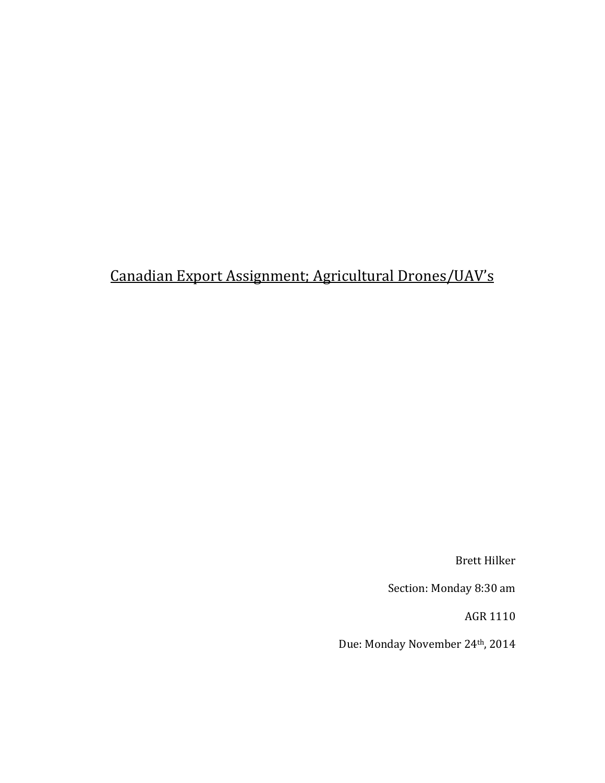# Canadian Export Assignment; Agricultural Drones/UAV's

Brett Hilker

Section: Monday 8:30 am

AGR 1110

Due: Monday November 24th, 2014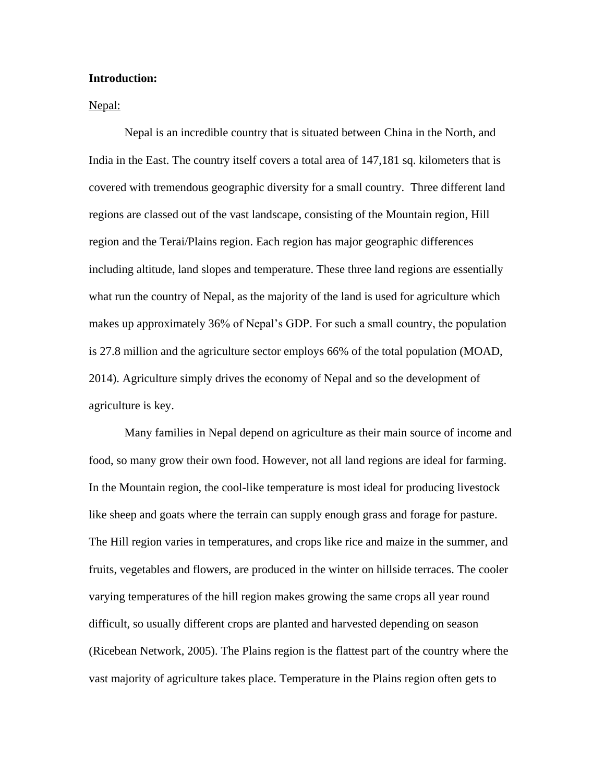# **Introduction:**

Nepal:

Nepal is an incredible country that is situated between China in the North, and India in the East. The country itself covers a total area of 147,181 sq. kilometers that is covered with tremendous geographic diversity for a small country. Three different land regions are classed out of the vast landscape, consisting of the Mountain region, Hill region and the Terai/Plains region. Each region has major geographic differences including altitude, land slopes and temperature. These three land regions are essentially what run the country of Nepal, as the majority of the land is used for agriculture which makes up approximately 36% of Nepal"s GDP. For such a small country, the population is 27.8 million and the agriculture sector employs 66% of the total population (MOAD, 2014). Agriculture simply drives the economy of Nepal and so the development of agriculture is key.

Many families in Nepal depend on agriculture as their main source of income and food, so many grow their own food. However, not all land regions are ideal for farming. In the Mountain region, the cool-like temperature is most ideal for producing livestock like sheep and goats where the terrain can supply enough grass and forage for pasture. The Hill region varies in temperatures, and crops like rice and maize in the summer, and fruits, vegetables and flowers, are produced in the winter on hillside terraces. The cooler varying temperatures of the hill region makes growing the same crops all year round difficult, so usually different crops are planted and harvested depending on season (Ricebean Network, 2005). The Plains region is the flattest part of the country where the vast majority of agriculture takes place. Temperature in the Plains region often gets to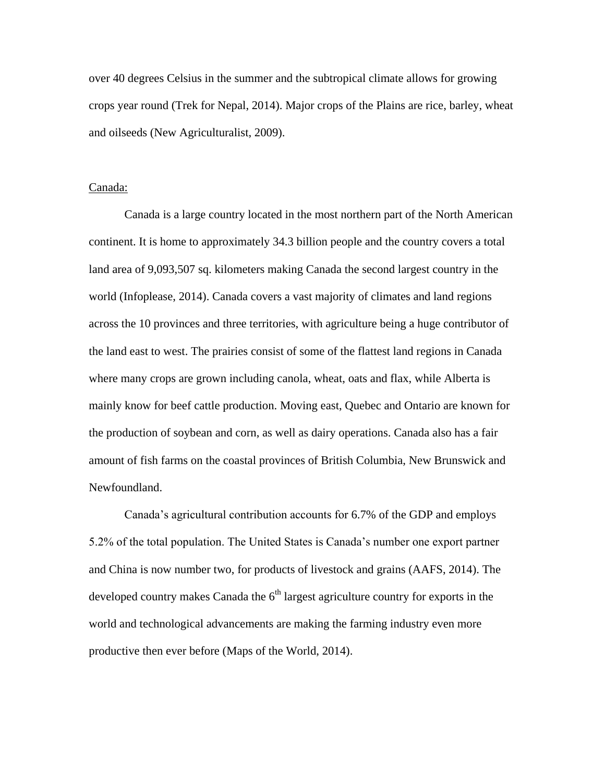over 40 degrees Celsius in the summer and the subtropical climate allows for growing crops year round (Trek for Nepal, 2014). Major crops of the Plains are rice, barley, wheat and oilseeds (New Agriculturalist, 2009).

#### Canada:

Canada is a large country located in the most northern part of the North American continent. It is home to approximately 34.3 billion people and the country covers a total land area of 9,093,507 sq. kilometers making Canada the second largest country in the world (Infoplease, 2014). Canada covers a vast majority of climates and land regions across the 10 provinces and three territories, with agriculture being a huge contributor of the land east to west. The prairies consist of some of the flattest land regions in Canada where many crops are grown including canola, wheat, oats and flax, while Alberta is mainly know for beef cattle production. Moving east, Quebec and Ontario are known for the production of soybean and corn, as well as dairy operations. Canada also has a fair amount of fish farms on the coastal provinces of British Columbia, New Brunswick and Newfoundland.

Canada"s agricultural contribution accounts for 6.7% of the GDP and employs 5.2% of the total population. The United States is Canada"s number one export partner and China is now number two, for products of livestock and grains (AAFS, 2014). The developed country makes Canada the  $6<sup>th</sup>$  largest agriculture country for exports in the world and technological advancements are making the farming industry even more productive then ever before (Maps of the World, 2014).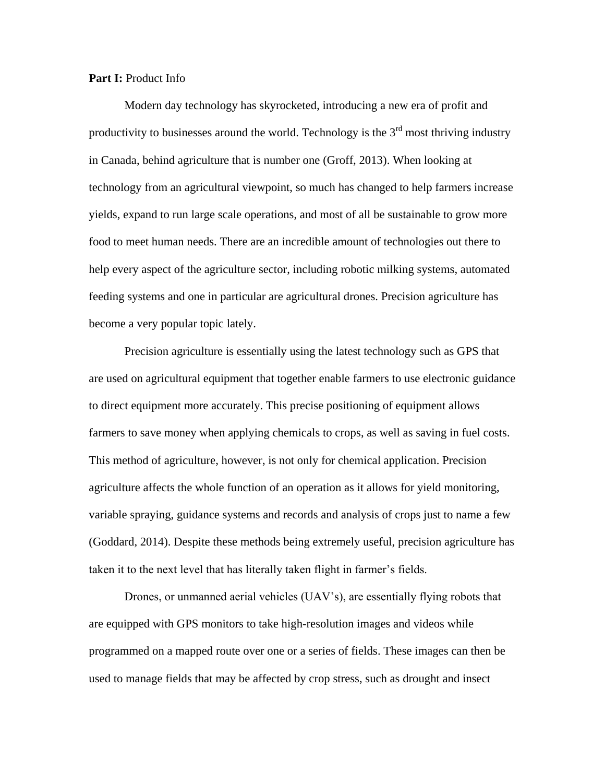# **Part I:** Product Info

Modern day technology has skyrocketed, introducing a new era of profit and productivity to businesses around the world. Technology is the  $3<sup>rd</sup>$  most thriving industry in Canada, behind agriculture that is number one (Groff, 2013). When looking at technology from an agricultural viewpoint, so much has changed to help farmers increase yields, expand to run large scale operations, and most of all be sustainable to grow more food to meet human needs. There are an incredible amount of technologies out there to help every aspect of the agriculture sector, including robotic milking systems, automated feeding systems and one in particular are agricultural drones. Precision agriculture has become a very popular topic lately.

Precision agriculture is essentially using the latest technology such as GPS that are used on agricultural equipment that together enable farmers to use electronic guidance to direct equipment more accurately. This precise positioning of equipment allows farmers to save money when applying chemicals to crops, as well as saving in fuel costs. This method of agriculture, however, is not only for chemical application. Precision agriculture affects the whole function of an operation as it allows for yield monitoring, variable spraying, guidance systems and records and analysis of crops just to name a few (Goddard, 2014). Despite these methods being extremely useful, precision agriculture has taken it to the next level that has literally taken flight in farmer"s fields.

Drones, or unmanned aerial vehicles (UAV"s), are essentially flying robots that are equipped with GPS monitors to take high-resolution images and videos while programmed on a mapped route over one or a series of fields. These images can then be used to manage fields that may be affected by crop stress, such as drought and insect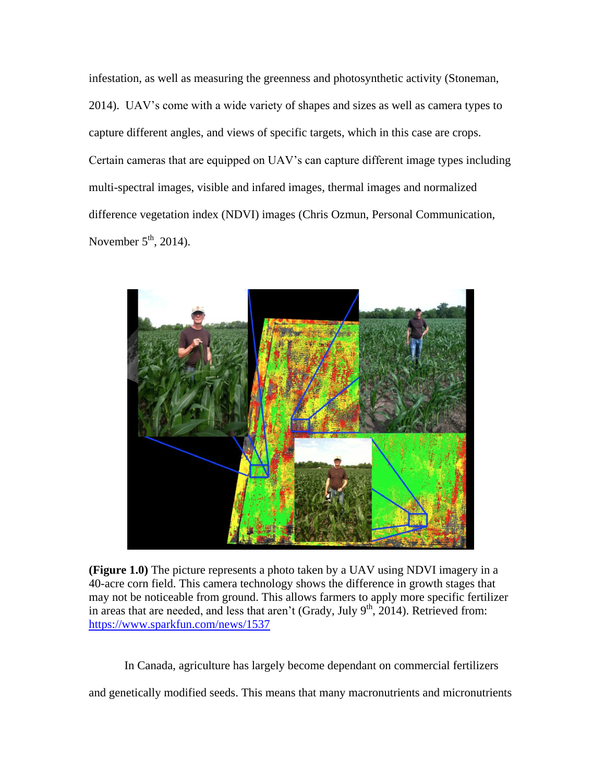infestation, as well as measuring the greenness and photosynthetic activity (Stoneman, 2014). UAV"s come with a wide variety of shapes and sizes as well as camera types to capture different angles, and views of specific targets, which in this case are crops. Certain cameras that are equipped on UAV"s can capture different image types including multi-spectral images, visible and infared images, thermal images and normalized difference vegetation index (NDVI) images (Chris Ozmun, Personal Communication, November  $5<sup>th</sup>$ , 2014).



**(Figure 1.0)** The picture represents a photo taken by a UAV using NDVI imagery in a 40-acre corn field. This camera technology shows the difference in growth stages that may not be noticeable from ground. This allows farmers to apply more specific fertilizer in areas that are needed, and less that aren't (Grady, July  $9<sup>th</sup>$ , 2014). Retrieved from: <https://www.sparkfun.com/news/1537>

In Canada, agriculture has largely become dependant on commercial fertilizers

and genetically modified seeds. This means that many macronutrients and micronutrients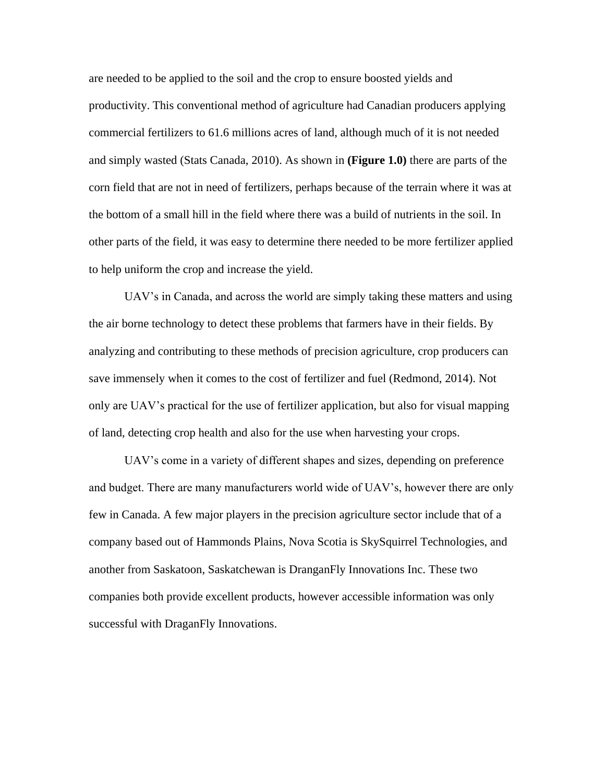are needed to be applied to the soil and the crop to ensure boosted yields and productivity. This conventional method of agriculture had Canadian producers applying commercial fertilizers to 61.6 millions acres of land, although much of it is not needed and simply wasted (Stats Canada, 2010). As shown in **(Figure 1.0)** there are parts of the corn field that are not in need of fertilizers, perhaps because of the terrain where it was at the bottom of a small hill in the field where there was a build of nutrients in the soil. In other parts of the field, it was easy to determine there needed to be more fertilizer applied to help uniform the crop and increase the yield.

UAV"s in Canada, and across the world are simply taking these matters and using the air borne technology to detect these problems that farmers have in their fields. By analyzing and contributing to these methods of precision agriculture, crop producers can save immensely when it comes to the cost of fertilizer and fuel (Redmond, 2014). Not only are UAV"s practical for the use of fertilizer application, but also for visual mapping of land, detecting crop health and also for the use when harvesting your crops.

UAV"s come in a variety of different shapes and sizes, depending on preference and budget. There are many manufacturers world wide of UAV"s, however there are only few in Canada. A few major players in the precision agriculture sector include that of a company based out of Hammonds Plains, Nova Scotia is SkySquirrel Technologies, and another from Saskatoon, Saskatchewan is DranganFly Innovations Inc. These two companies both provide excellent products, however accessible information was only successful with DraganFly Innovations.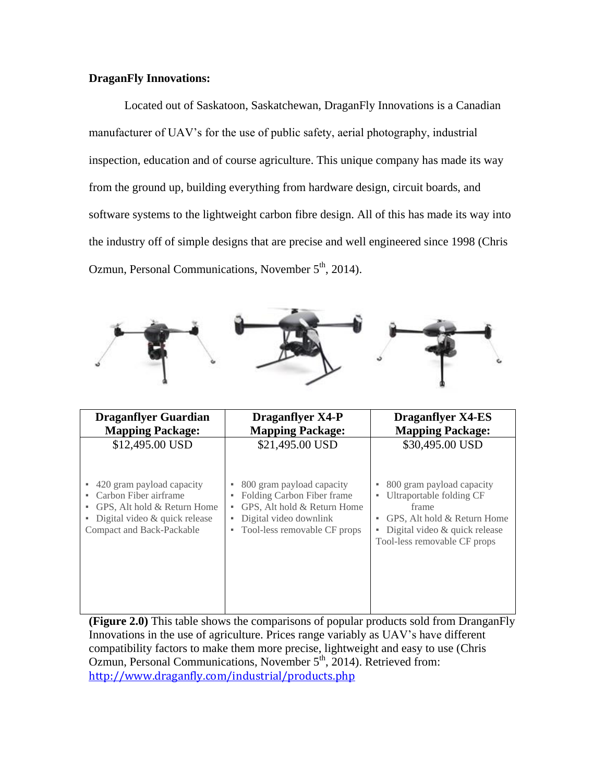# **DraganFly Innovations:**

Located out of Saskatoon, Saskatchewan, DraganFly Innovations is a Canadian manufacturer of UAV"s for the use of public safety, aerial photography, industrial inspection, education and of course agriculture. This unique company has made its way from the ground up, building everything from hardware design, circuit boards, and software systems to the lightweight carbon fibre design. All of this has made its way into the industry off of simple designs that are precise and well engineered since 1998 (Chris Ozmun, Personal Communications, November  $5<sup>th</sup>$ , 2014).



| <b>Draganflyer Guardian</b><br><b>Mapping Package:</b>                                                                 | <b>Draganflyer X4-P</b><br><b>Mapping Package:</b>                                                                                   | <b>Draganflyer X4-ES</b><br><b>Mapping Package:</b>                                                                                    |
|------------------------------------------------------------------------------------------------------------------------|--------------------------------------------------------------------------------------------------------------------------------------|----------------------------------------------------------------------------------------------------------------------------------------|
| \$12,495.00 USD<br>• 420 gram payload capacity                                                                         | \$21,495.00 USD<br>800 gram payload capacity<br>٠                                                                                    | \$30,495.00 USD<br>800 gram payload capacity                                                                                           |
| • Carbon Fiber airframe<br>GPS, Alt hold & Return Home<br>• Digital video & quick release<br>Compact and Back-Packable | Folding Carbon Fiber frame<br>٠<br>GPS, Alt hold & Return Home<br>٠<br>Digital video downlink<br>٠<br>• Tool-less removable CF props | Ultraportable folding CF<br>٠<br>frame<br>GPS, Alt hold & Return Home<br>Digital video & quick release<br>Tool-less removable CF props |

**(Figure 2.0)** This table shows the comparisons of popular products sold from DranganFly Innovations in the use of agriculture. Prices range variably as UAV"s have different compatibility factors to make them more precise, lightweight and easy to use (Chris Ozmun, Personal Communications, November 5<sup>th</sup>, 2014). Retrieved from: <http://www.draganfly.com/industrial/products.php>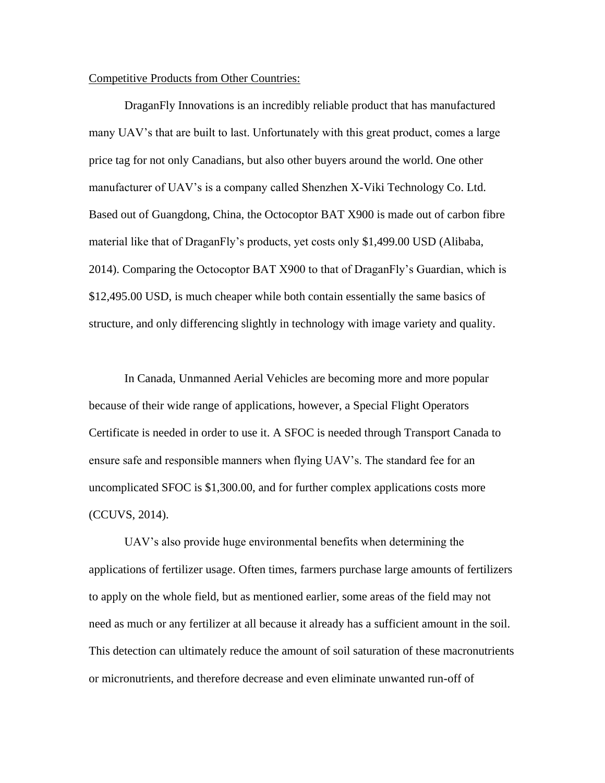# Competitive Products from Other Countries:

DraganFly Innovations is an incredibly reliable product that has manufactured many UAV's that are built to last. Unfortunately with this great product, comes a large price tag for not only Canadians, but also other buyers around the world. One other manufacturer of UAV"s is a company called Shenzhen X-Viki Technology Co. Ltd. Based out of Guangdong, China, the Octocoptor BAT X900 is made out of carbon fibre material like that of DraganFly"s products, yet costs only \$1,499.00 USD (Alibaba, 2014). Comparing the Octocoptor BAT X900 to that of DraganFly"s Guardian, which is \$12,495.00 USD, is much cheaper while both contain essentially the same basics of structure, and only differencing slightly in technology with image variety and quality.

In Canada, Unmanned Aerial Vehicles are becoming more and more popular because of their wide range of applications, however, a Special Flight Operators Certificate is needed in order to use it. A SFOC is needed through Transport Canada to ensure safe and responsible manners when flying UAV"s. The standard fee for an uncomplicated SFOC is \$1,300.00, and for further complex applications costs more (CCUVS, 2014).

UAV"s also provide huge environmental benefits when determining the applications of fertilizer usage. Often times, farmers purchase large amounts of fertilizers to apply on the whole field, but as mentioned earlier, some areas of the field may not need as much or any fertilizer at all because it already has a sufficient amount in the soil. This detection can ultimately reduce the amount of soil saturation of these macronutrients or micronutrients, and therefore decrease and even eliminate unwanted run-off of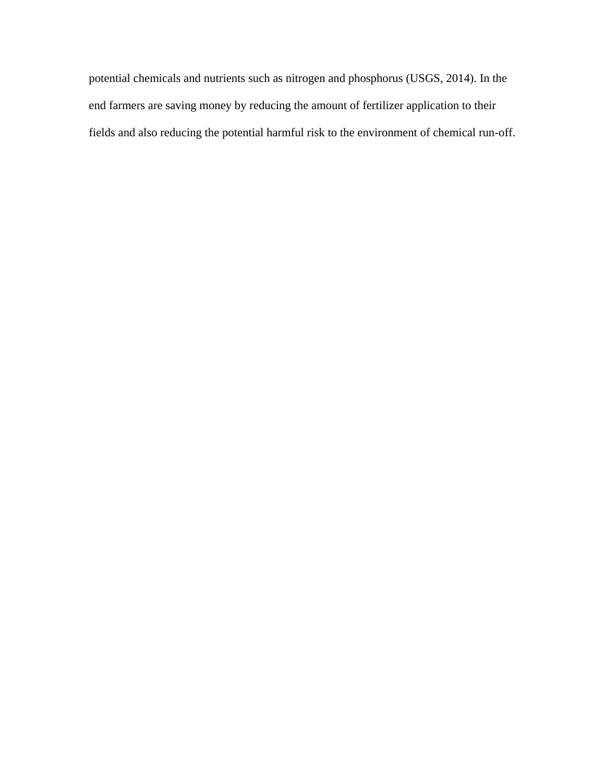potential chemicals and nutrients such as nitrogen and phosphorus (USGS, 2014). In the end farmers are saving money by reducing the amount of fertilizer application to their fields and also reducing the potential harmful risk to the environment of chemical run-off.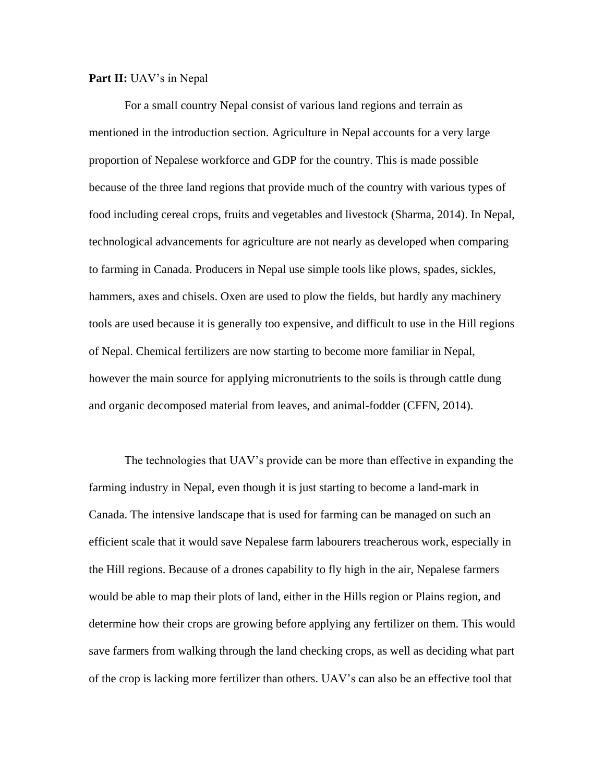#### **Part II:** UAV's in Nepal

For a small country Nepal consist of various land regions and terrain as mentioned in the introduction section. Agriculture in Nepal accounts for a very large proportion of Nepalese workforce and GDP for the country. This is made possible because of the three land regions that provide much of the country with various types of food including cereal crops, fruits and vegetables and livestock (Sharma, 2014). In Nepal, technological advancements for agriculture are not nearly as developed when comparing to farming in Canada. Producers in Nepal use simple tools like plows, spades, sickles, hammers, axes and chisels. Oxen are used to plow the fields, but hardly any machinery tools are used because it is generally too expensive, and difficult to use in the Hill regions of Nepal. Chemical fertilizers are now starting to become more familiar in Nepal, however the main source for applying micronutrients to the soils is through cattle dung and organic decomposed material from leaves, and animal-fodder (CFFN, 2014).

The technologies that UAV"s provide can be more than effective in expanding the farming industry in Nepal, even though it is just starting to become a land-mark in Canada. The intensive landscape that is used for farming can be managed on such an efficient scale that it would save Nepalese farm labourers treacherous work, especially in the Hill regions. Because of a drones capability to fly high in the air, Nepalese farmers would be able to map their plots of land, either in the Hills region or Plains region, and determine how their crops are growing before applying any fertilizer on them. This would save farmers from walking through the land checking crops, as well as deciding what part of the crop is lacking more fertilizer than others. UAV"s can also be an effective tool that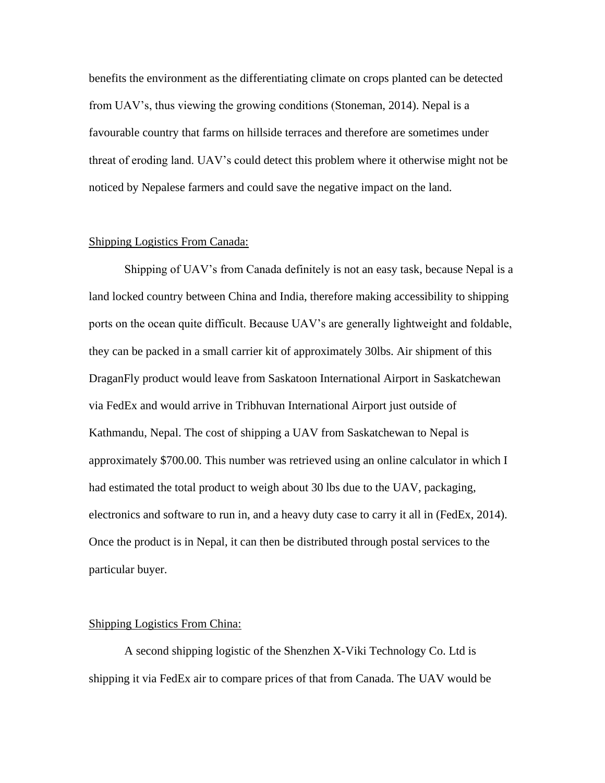benefits the environment as the differentiating climate on crops planted can be detected from UAV"s, thus viewing the growing conditions (Stoneman, 2014). Nepal is a favourable country that farms on hillside terraces and therefore are sometimes under threat of eroding land. UAV"s could detect this problem where it otherwise might not be noticed by Nepalese farmers and could save the negative impact on the land.

### Shipping Logistics From Canada:

Shipping of UAV"s from Canada definitely is not an easy task, because Nepal is a land locked country between China and India, therefore making accessibility to shipping ports on the ocean quite difficult. Because UAV"s are generally lightweight and foldable, they can be packed in a small carrier kit of approximately 30lbs. Air shipment of this DraganFly product would leave from Saskatoon International Airport in Saskatchewan via FedEx and would arrive in Tribhuvan International Airport just outside of Kathmandu, Nepal. The cost of shipping a UAV from Saskatchewan to Nepal is approximately \$700.00. This number was retrieved using an online calculator in which I had estimated the total product to weigh about 30 lbs due to the UAV, packaging, electronics and software to run in, and a heavy duty case to carry it all in (FedEx, 2014). Once the product is in Nepal, it can then be distributed through postal services to the particular buyer.

#### Shipping Logistics From China:

A second shipping logistic of the Shenzhen X-Viki Technology Co. Ltd is shipping it via FedEx air to compare prices of that from Canada. The UAV would be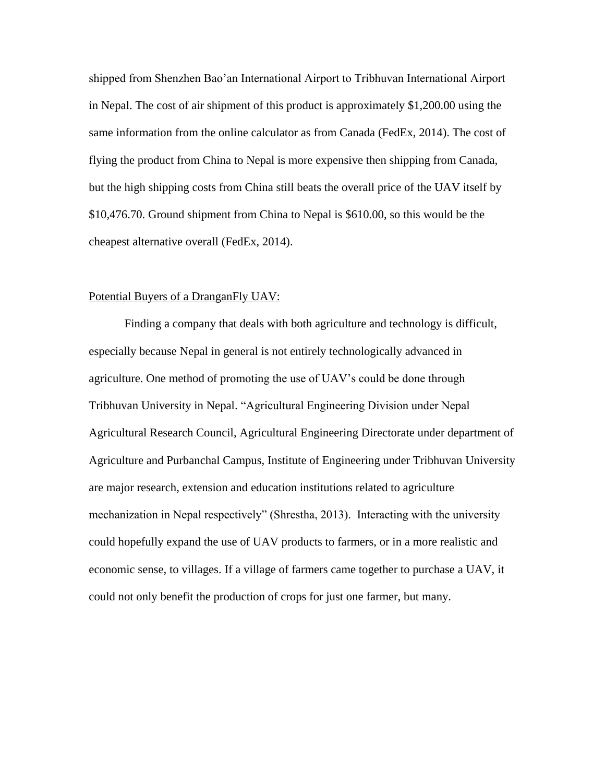shipped from Shenzhen Bao"an International Airport to Tribhuvan International Airport in Nepal. The cost of air shipment of this product is approximately \$1,200.00 using the same information from the online calculator as from Canada (FedEx, 2014). The cost of flying the product from China to Nepal is more expensive then shipping from Canada, but the high shipping costs from China still beats the overall price of the UAV itself by \$10,476.70. Ground shipment from China to Nepal is \$610.00, so this would be the cheapest alternative overall (FedEx, 2014).

# Potential Buyers of a DranganFly UAV:

Finding a company that deals with both agriculture and technology is difficult, especially because Nepal in general is not entirely technologically advanced in agriculture. One method of promoting the use of UAV"s could be done through Tribhuvan University in Nepal. "Agricultural Engineering Division under Nepal Agricultural Research Council, Agricultural Engineering Directorate under department of Agriculture and Purbanchal Campus, Institute of Engineering under Tribhuvan University are major research, extension and education institutions related to agriculture mechanization in Nepal respectively" (Shrestha, 2013). Interacting with the university could hopefully expand the use of UAV products to farmers, or in a more realistic and economic sense, to villages. If a village of farmers came together to purchase a UAV, it could not only benefit the production of crops for just one farmer, but many.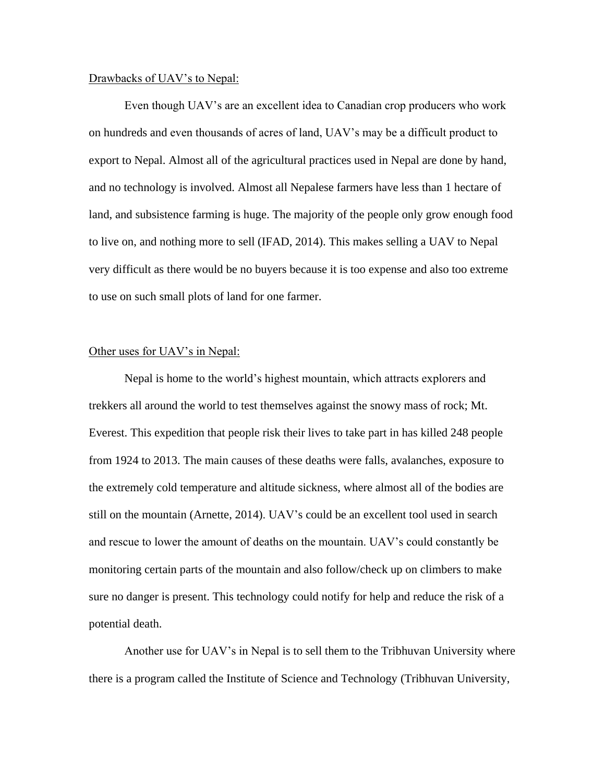#### Drawbacks of UAV's to Nepal:

Even though UAV"s are an excellent idea to Canadian crop producers who work on hundreds and even thousands of acres of land, UAV"s may be a difficult product to export to Nepal. Almost all of the agricultural practices used in Nepal are done by hand, and no technology is involved. Almost all Nepalese farmers have less than 1 hectare of land, and subsistence farming is huge. The majority of the people only grow enough food to live on, and nothing more to sell (IFAD, 2014). This makes selling a UAV to Nepal very difficult as there would be no buyers because it is too expense and also too extreme to use on such small plots of land for one farmer.

### Other uses for UAV's in Nepal:

Nepal is home to the world"s highest mountain, which attracts explorers and trekkers all around the world to test themselves against the snowy mass of rock; Mt. Everest. This expedition that people risk their lives to take part in has killed 248 people from 1924 to 2013. The main causes of these deaths were falls, avalanches, exposure to the extremely cold temperature and altitude sickness, where almost all of the bodies are still on the mountain (Arnette, 2014). UAV"s could be an excellent tool used in search and rescue to lower the amount of deaths on the mountain. UAV"s could constantly be monitoring certain parts of the mountain and also follow/check up on climbers to make sure no danger is present. This technology could notify for help and reduce the risk of a potential death.

Another use for UAV"s in Nepal is to sell them to the Tribhuvan University where there is a program called the Institute of Science and Technology (Tribhuvan University,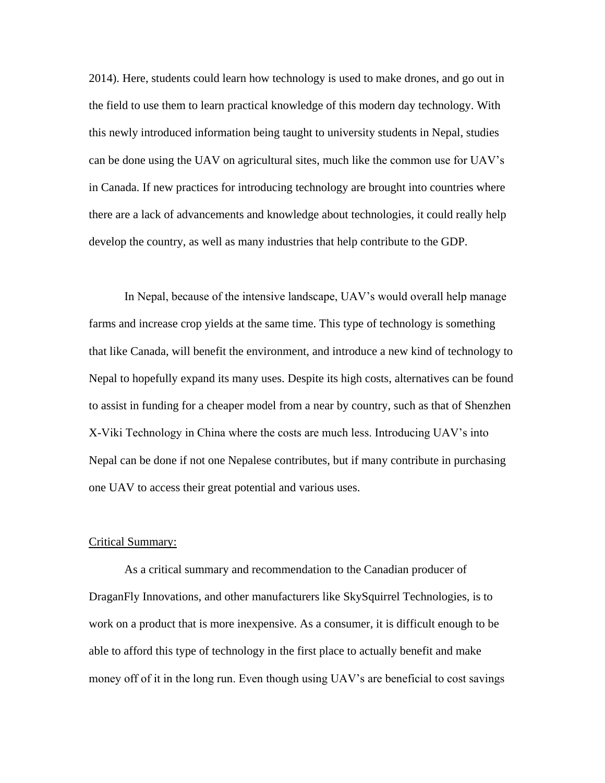2014). Here, students could learn how technology is used to make drones, and go out in the field to use them to learn practical knowledge of this modern day technology. With this newly introduced information being taught to university students in Nepal, studies can be done using the UAV on agricultural sites, much like the common use for UAV"s in Canada. If new practices for introducing technology are brought into countries where there are a lack of advancements and knowledge about technologies, it could really help develop the country, as well as many industries that help contribute to the GDP.

In Nepal, because of the intensive landscape, UAV"s would overall help manage farms and increase crop yields at the same time. This type of technology is something that like Canada, will benefit the environment, and introduce a new kind of technology to Nepal to hopefully expand its many uses. Despite its high costs, alternatives can be found to assist in funding for a cheaper model from a near by country, such as that of Shenzhen X-Viki Technology in China where the costs are much less. Introducing UAV"s into Nepal can be done if not one Nepalese contributes, but if many contribute in purchasing one UAV to access their great potential and various uses.

#### Critical Summary:

As a critical summary and recommendation to the Canadian producer of DraganFly Innovations, and other manufacturers like SkySquirrel Technologies, is to work on a product that is more inexpensive. As a consumer, it is difficult enough to be able to afford this type of technology in the first place to actually benefit and make money off of it in the long run. Even though using UAV's are beneficial to cost savings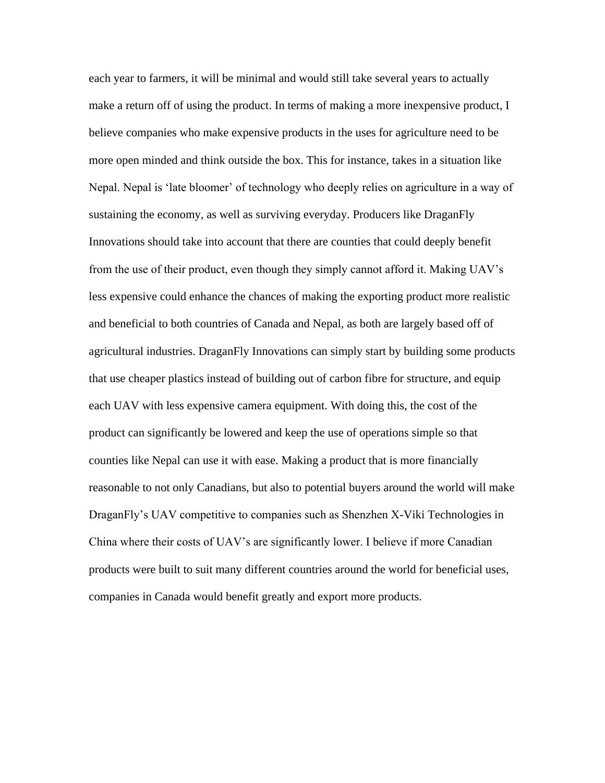each year to farmers, it will be minimal and would still take several years to actually make a return off of using the product. In terms of making a more inexpensive product, I believe companies who make expensive products in the uses for agriculture need to be more open minded and think outside the box. This for instance, takes in a situation like Nepal. Nepal is "late bloomer" of technology who deeply relies on agriculture in a way of sustaining the economy, as well as surviving everyday. Producers like DraganFly Innovations should take into account that there are counties that could deeply benefit from the use of their product, even though they simply cannot afford it. Making UAV"s less expensive could enhance the chances of making the exporting product more realistic and beneficial to both countries of Canada and Nepal, as both are largely based off of agricultural industries. DraganFly Innovations can simply start by building some products that use cheaper plastics instead of building out of carbon fibre for structure, and equip each UAV with less expensive camera equipment. With doing this, the cost of the product can significantly be lowered and keep the use of operations simple so that counties like Nepal can use it with ease. Making a product that is more financially reasonable to not only Canadians, but also to potential buyers around the world will make DraganFly"s UAV competitive to companies such as Shenzhen X-Viki Technologies in China where their costs of UAV"s are significantly lower. I believe if more Canadian products were built to suit many different countries around the world for beneficial uses, companies in Canada would benefit greatly and export more products.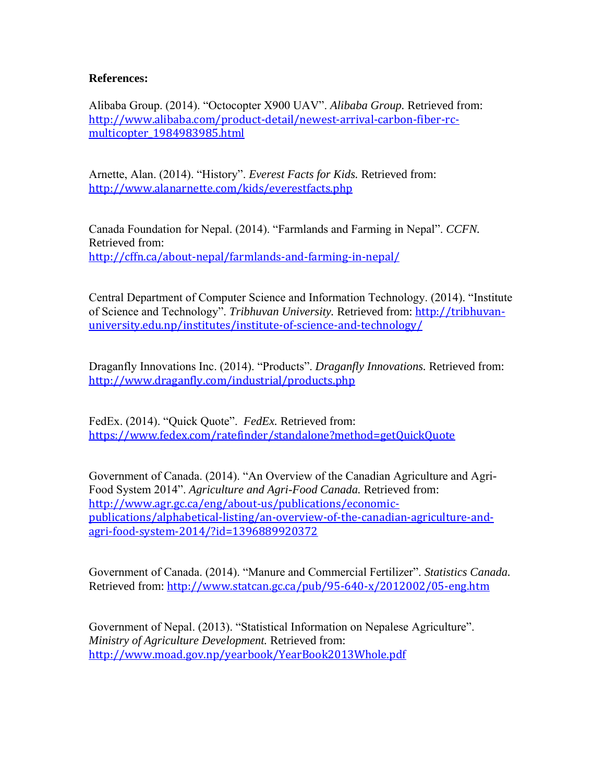# **References:**

Alibaba Group. (2014). "Octocopter X900 UAV". *Alibaba Group.* Retrieved from: [http://www.alibaba.com/product-detail/newest-arrival-carbon-fiber-rc](http://www.alibaba.com/product-detail/newest-arrival-carbon-fiber-rc-multicopter_1984983985.html)[multicopter\\_1984983985.html](http://www.alibaba.com/product-detail/newest-arrival-carbon-fiber-rc-multicopter_1984983985.html)

Arnette, Alan. (2014). "History". *Everest Facts for Kids.* Retrieved from: <http://www.alanarnette.com/kids/everestfacts.php>

Canada Foundation for Nepal. (2014). "Farmlands and Farming in Nepal". *CCFN.* Retrieved from: <http://cffn.ca/about-nepal/farmlands-and-farming-in-nepal/>

Central Department of Computer Science and Information Technology. (2014). "Institute of Science and Technology". *Tribhuvan University.* Retrieved from: [http://tribhuvan](http://tribhuvan-university.edu.np/institutes/institute-of-science-and-technology/)[university.edu.np/institutes/institute-of-science-and-technology/](http://tribhuvan-university.edu.np/institutes/institute-of-science-and-technology/)

Draganfly Innovations Inc. (2014). "Products". *Draganfly Innovations.* Retrieved from: <http://www.draganfly.com/industrial/products.php>

FedEx. (2014). "Quick Quote". *FedEx.* Retrieved from: <https://www.fedex.com/ratefinder/standalone?method=getQuickQuote>

Government of Canada. (2014). "An Overview of the Canadian Agriculture and Agri-Food System 2014". *Agriculture and Agri-Food Canada.* Retrieved from: [http://www.agr.gc.ca/eng/about-us/publications/economic](http://www.agr.gc.ca/eng/about-us/publications/economic-publications/alphabetical-listing/an-overview-of-the-canadian-agriculture-and-agri-food-system-2014/?id=1396889920372)[publications/alphabetical-listing/an-overview-of-the-canadian-agriculture-and](http://www.agr.gc.ca/eng/about-us/publications/economic-publications/alphabetical-listing/an-overview-of-the-canadian-agriculture-and-agri-food-system-2014/?id=1396889920372)[agri-food-system-2014/?id=1396889920372](http://www.agr.gc.ca/eng/about-us/publications/economic-publications/alphabetical-listing/an-overview-of-the-canadian-agriculture-and-agri-food-system-2014/?id=1396889920372)

Government of Canada. (2014). "Manure and Commercial Fertilizer". *Statistics Canada.* Retrieved from: <http://www.statcan.gc.ca/pub/95-640-x/2012002/05-eng.htm>

Government of Nepal. (2013). "Statistical Information on Nepalese Agriculture". *Ministry of Agriculture Development.* Retrieved from: <http://www.moad.gov.np/yearbook/YearBook2013Whole.pdf>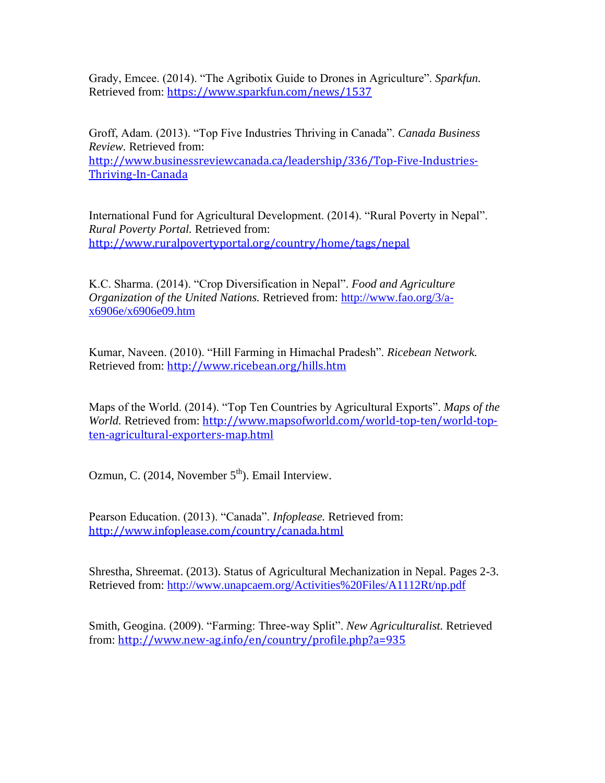Grady, Emcee. (2014). "The Agribotix Guide to Drones in Agriculture". *Sparkfun.* Retrieved from: <https://www.sparkfun.com/news/1537>

Groff, Adam. (2013). "Top Five Industries Thriving in Canada". *Canada Business Review.* Retrieved from: [http://www.businessreviewcanada.ca/leadership/336/Top-Five-Industries-](http://www.businessreviewcanada.ca/leadership/336/Top-Five-Industries-Thriving-In-Canada)[Thriving-In-Canada](http://www.businessreviewcanada.ca/leadership/336/Top-Five-Industries-Thriving-In-Canada)

International Fund for Agricultural Development. (2014). "Rural Poverty in Nepal". *Rural Poverty Portal.* Retrieved from: <http://www.ruralpovertyportal.org/country/home/tags/nepal>

K.C. Sharma. (2014). "Crop Diversification in Nepal". *Food and Agriculture Organization of the United Nations.* Retrieved from: [http://www.fao.org/3/a](http://www.fao.org/3/a-x6906e/x6906e09.htm)[x6906e/x6906e09.htm](http://www.fao.org/3/a-x6906e/x6906e09.htm)

Kumar, Naveen. (2010). "Hill Farming in Himachal Pradesh". *Ricebean Network.* Retrieved from: <http://www.ricebean.org/hills.htm>

Maps of the World. (2014). "Top Ten Countries by Agricultural Exports". *Maps of the World.* Retrieved from: [http://www.mapsofworld.com/world-top-ten/world-top](http://www.mapsofworld.com/world-top-ten/world-top-ten-agricultural-exporters-map.html)[ten-agricultural-exporters-map.html](http://www.mapsofworld.com/world-top-ten/world-top-ten-agricultural-exporters-map.html)

Ozmun, C.  $(2014.$  November  $5<sup>th</sup>$ ). Email Interview.

Pearson Education. (2013). "Canada". *Infoplease.* Retrieved from: <http://www.infoplease.com/country/canada.html>

Shrestha, Shreemat. (2013). Status of Agricultural Mechanization in Nepal. Pages 2-3. Retrieved from:<http://www.unapcaem.org/Activities%20Files/A1112Rt/np.pdf>

Smith, Geogina. (2009). "Farming: Three-way Split". *New Agriculturalist.* Retrieved from: <http://www.new-ag.info/en/country/profile.php?a=935>